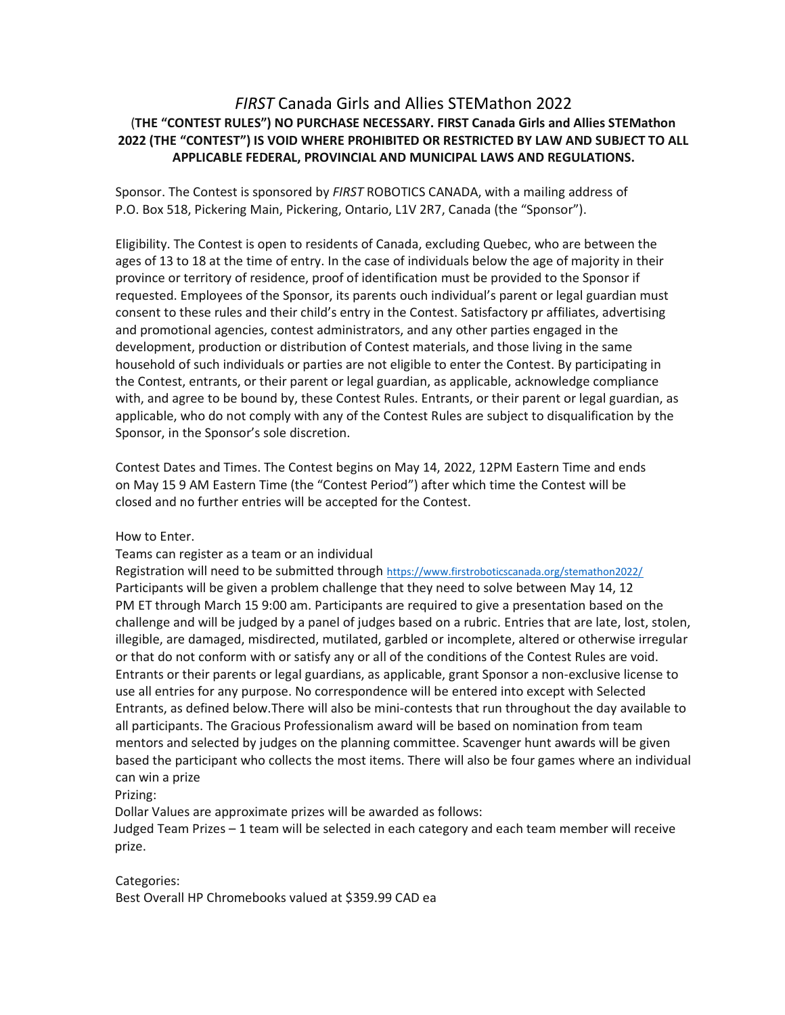# *FIRST* Canada Girls and Allies STEMathon 2022 (**THE "CONTEST RULES") NO PURCHASE NECESSARY. FIRST Canada Girls and Allies STEMathon 2022 (THE "CONTEST") IS VOID WHERE PROHIBITED OR RESTRICTED BY LAW AND SUBJECT TO ALL APPLICABLE FEDERAL, PROVINCIAL AND MUNICIPAL LAWS AND REGULATIONS.**

Sponsor. The Contest is sponsored by *FIRST* ROBOTICS CANADA, with a mailing address of P.O. Box 518, Pickering Main, Pickering, Ontario, L1V 2R7, Canada (the "Sponsor").

Eligibility. The Contest is open to residents of Canada, excluding Quebec, who are between the ages of 13 to 18 at the time of entry. In the case of individuals below the age of majority in their province or territory of residence, proof of identification must be provided to the Sponsor if requested. Employees of the Sponsor, its parents ouch individual's parent or legal guardian must consent to these rules and their child's entry in the Contest. Satisfactory pr affiliates, advertising and promotional agencies, contest administrators, and any other parties engaged in the development, production or distribution of Contest materials, and those living in the same household of such individuals or parties are not eligible to enter the Contest. By participating in the Contest, entrants, or their parent or legal guardian, as applicable, acknowledge compliance with, and agree to be bound by, these Contest Rules. Entrants, or their parent or legal guardian, as applicable, who do not comply with any of the Contest Rules are subject to disqualification by the Sponsor, in the Sponsor's sole discretion.

Contest Dates and Times. The Contest begins on May 14, 2022, 12PM Eastern Time and ends on May 15 9 AM Eastern Time (the "Contest Period") after which time the Contest will be closed and no further entries will be accepted for the Contest.

How to Enter.

Teams can register as a team or an individual

Registration will need to be submitted through <https://www.firstroboticscanada.org/stemathon2022/> Participants will be given a problem challenge that they need to solve between May 14, 12 PM ET through March 15 9:00 am. Participants are required to give a presentation based on the challenge and will be judged by a panel of judges based on a rubric. Entries that are late, lost, stolen, illegible, are damaged, misdirected, mutilated, garbled or incomplete, altered or otherwise irregular or that do not conform with or satisfy any or all of the conditions of the Contest Rules are void. Entrants or their parents or legal guardians, as applicable, grant Sponsor a non-exclusive license to use all entries for any purpose. No correspondence will be entered into except with Selected Entrants, as defined below.There will also be mini-contests that run throughout the day available to all participants. The Gracious Professionalism award will be based on nomination from team mentors and selected by judges on the planning committee. Scavenger hunt awards will be given based the participant who collects the most items. There will also be four games where an individual can win a prize

Prizing:

Dollar Values are approximate prizes will be awarded as follows:

Judged Team Prizes – 1 team will be selected in each category and each team member will receive prize.

Categories: Best Overall HP Chromebooks valued at \$359.99 CAD ea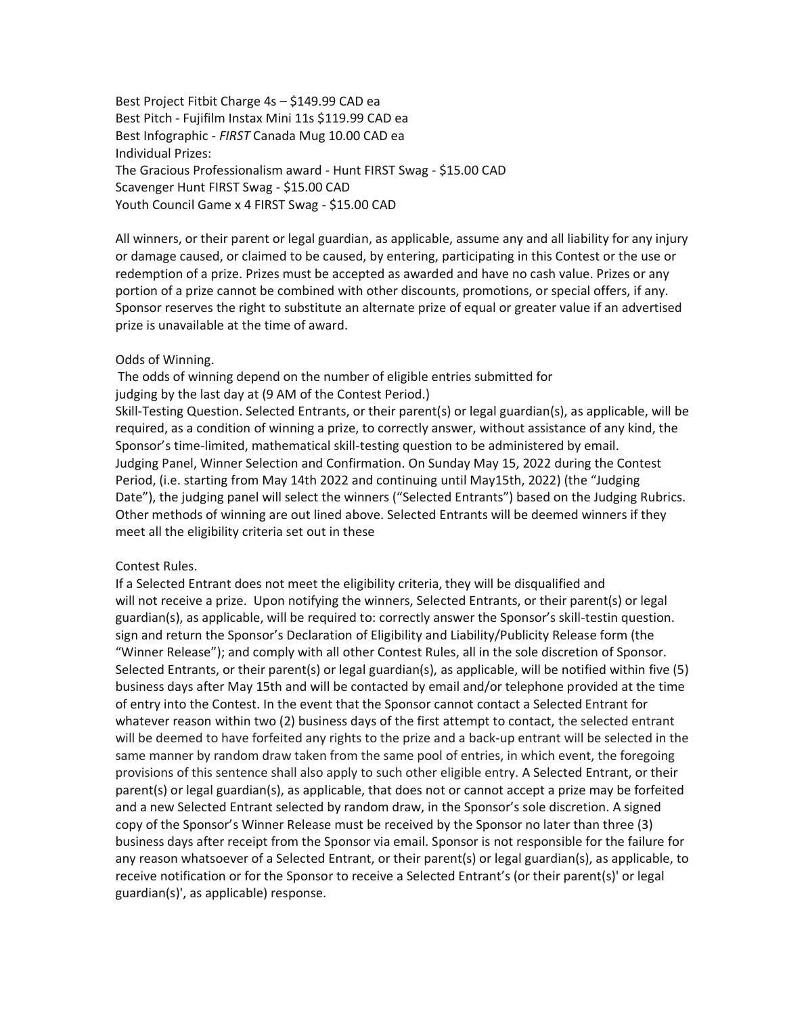Best Project Fitbit Charge 4s – \$149.99 CAD ea Best Pitch - Fujifilm Instax Mini 11s \$119.99 CAD ea Best Infographic - *FIRST* Canada Mug 10.00 CAD ea Individual Prizes: The Gracious Professionalism award - Hunt FIRST Swag - \$15.00 CAD Scavenger Hunt FIRST Swag - \$15.00 CAD Youth Council Game x 4 FIRST Swag - \$15.00 CAD

All winners, or their parent or legal guardian, as applicable, assume any and all liability for any injury or damage caused, or claimed to be caused, by entering, participating in this Contest or the use or redemption of a prize. Prizes must be accepted as awarded and have no cash value. Prizes or any portion of a prize cannot be combined with other discounts, promotions, or special offers, if any. Sponsor reserves the right to substitute an alternate prize of equal or greater value if an advertised prize is unavailable at the time of award.

#### Odds of Winning.

 The odds of winning depend on the number of eligible entries submitted for judging by the last day at (9 AM of the Contest Period.)

Skill-Testing Question. Selected Entrants, or their parent(s) or legal guardian(s), as applicable, will be required, as a condition of winning a prize, to correctly answer, without assistance of any kind, the Sponsor's time-limited, mathematical skill-testing question to be administered by email. Judging Panel, Winner Selection and Confirmation. On Sunday May 15, 2022 during the Contest Period, (i.e. starting from May 14th 2022 and continuing until May15th, 2022) (the "Judging Date"), the judging panel will select the winners ("Selected Entrants") based on the Judging Rubrics. Other methods of winning are out lined above. Selected Entrants will be deemed winners if they meet all the eligibility criteria set out in these

#### Contest Rules.

If a Selected Entrant does not meet the eligibility criteria, they will be disqualified and will not receive a prize. Upon notifying the winners, Selected Entrants, or their parent(s) or legal guardian(s), as applicable, will be required to: correctly answer the Sponsor's skill-testin question. sign and return the Sponsor's Declaration of Eligibility and Liability/Publicity Release form (the "Winner Release"); and comply with all other Contest Rules, all in the sole discretion of Sponsor. Selected Entrants, or their parent(s) or legal guardian(s), as applicable, will be notified within five (5) business days after May 15th and will be contacted by email and/or telephone provided at the time of entry into the Contest. In the event that the Sponsor cannot contact a Selected Entrant for whatever reason within two (2) business days of the first attempt to contact, the selected entrant will be deemed to have forfeited any rights to the prize and a back-up entrant will be selected in the same manner by random draw taken from the same pool of entries, in which event, the foregoing provisions of this sentence shall also apply to such other eligible entry. A Selected Entrant, or their parent(s) or legal guardian(s), as applicable, that does not or cannot accept a prize may be forfeited and a new Selected Entrant selected by random draw, in the Sponsor's sole discretion. A signed copy of the Sponsor's Winner Release must be received by the Sponsor no later than three (3) business days after receipt from the Sponsor via email. Sponsor is not responsible for the failure for any reason whatsoever of a Selected Entrant, or their parent(s) or legal guardian(s), as applicable, to receive notification or for the Sponsor to receive a Selected Entrant's (or their parent(s)' or legal guardian(s)', as applicable) response.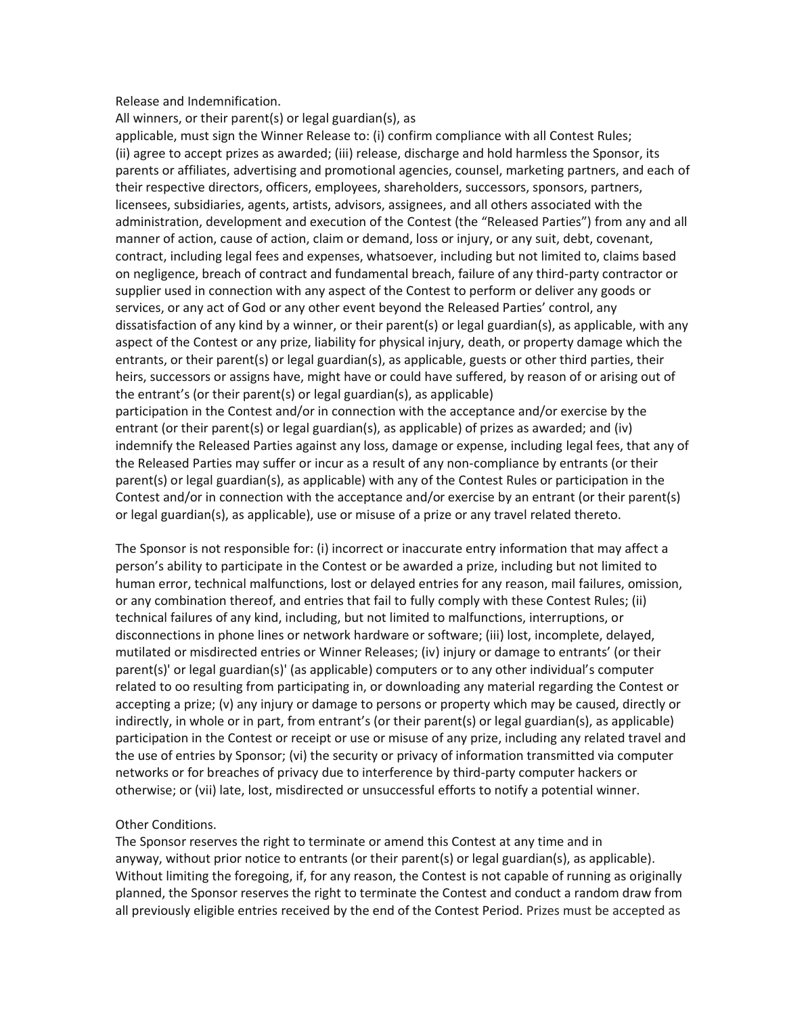Release and Indemnification.

All winners, or their parent(s) or legal guardian(s), as

applicable, must sign the Winner Release to: (i) confirm compliance with all Contest Rules; (ii) agree to accept prizes as awarded; (iii) release, discharge and hold harmless the Sponsor, its parents or affiliates, advertising and promotional agencies, counsel, marketing partners, and each of their respective directors, officers, employees, shareholders, successors, sponsors, partners, licensees, subsidiaries, agents, artists, advisors, assignees, and all others associated with the administration, development and execution of the Contest (the "Released Parties") from any and all manner of action, cause of action, claim or demand, loss or injury, or any suit, debt, covenant, contract, including legal fees and expenses, whatsoever, including but not limited to, claims based on negligence, breach of contract and fundamental breach, failure of any third-party contractor or supplier used in connection with any aspect of the Contest to perform or deliver any goods or services, or any act of God or any other event beyond the Released Parties' control, any dissatisfaction of any kind by a winner, or their parent(s) or legal guardian(s), as applicable, with any aspect of the Contest or any prize, liability for physical injury, death, or property damage which the entrants, or their parent(s) or legal guardian(s), as applicable, guests or other third parties, their heirs, successors or assigns have, might have or could have suffered, by reason of or arising out of the entrant's (or their parent(s) or legal guardian(s), as applicable) participation in the Contest and/or in connection with the acceptance and/or exercise by the entrant (or their parent(s) or legal guardian(s), as applicable) of prizes as awarded; and (iv) indemnify the Released Parties against any loss, damage or expense, including legal fees, that any of the Released Parties may suffer or incur as a result of any non-compliance by entrants (or their parent(s) or legal guardian(s), as applicable) with any of the Contest Rules or participation in the Contest and/or in connection with the acceptance and/or exercise by an entrant (or their parent(s) or legal guardian(s), as applicable), use or misuse of a prize or any travel related thereto.

The Sponsor is not responsible for: (i) incorrect or inaccurate entry information that may affect a person's ability to participate in the Contest or be awarded a prize, including but not limited to human error, technical malfunctions, lost or delayed entries for any reason, mail failures, omission, or any combination thereof, and entries that fail to fully comply with these Contest Rules; (ii) technical failures of any kind, including, but not limited to malfunctions, interruptions, or disconnections in phone lines or network hardware or software; (iii) lost, incomplete, delayed, mutilated or misdirected entries or Winner Releases; (iv) injury or damage to entrants' (or their parent(s)' or legal guardian(s)' (as applicable) computers or to any other individual's computer related to oo resulting from participating in, or downloading any material regarding the Contest or accepting a prize; (v) any injury or damage to persons or property which may be caused, directly or indirectly, in whole or in part, from entrant's (or their parent(s) or legal guardian(s), as applicable) participation in the Contest or receipt or use or misuse of any prize, including any related travel and the use of entries by Sponsor; (vi) the security or privacy of information transmitted via computer networks or for breaches of privacy due to interference by third-party computer hackers or otherwise; or (vii) late, lost, misdirected or unsuccessful efforts to notify a potential winner.

#### Other Conditions.

The Sponsor reserves the right to terminate or amend this Contest at any time and in anyway, without prior notice to entrants (or their parent(s) or legal guardian(s), as applicable). Without limiting the foregoing, if, for any reason, the Contest is not capable of running as originally planned, the Sponsor reserves the right to terminate the Contest and conduct a random draw from all previously eligible entries received by the end of the Contest Period. Prizes must be accepted as